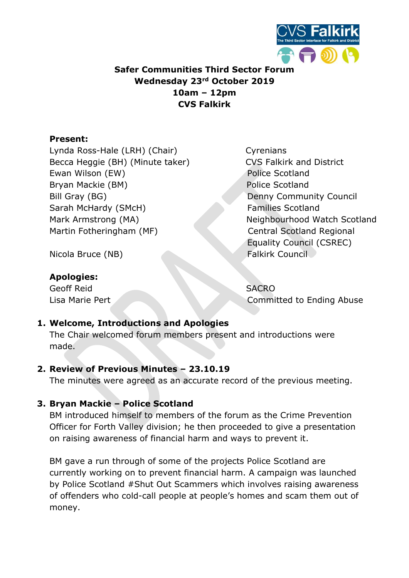

# Safer Communities Third Sector Forum Wednesday 23rd October 2019 10am – 12pm CVS Falkirk

## Present:

Lynda Ross-Hale (LRH) (Chair) Cyrenians Becca Heggie (BH) (Minute taker) CVS Falkirk and District Ewan Wilson (EW) **Police Scotland** Bryan Mackie (BM) Police Scotland Bill Gray (BG) Denny Community Council Sarah McHardy (SMcH) Families Scotland Mark Armstrong (MA) Neighbourhood Watch Scotland Martin Fotheringham (MF) Central Scotland Regional

Equality Council (CSREC)

Nicola Bruce (NB) Falkirk Council

## Apologies:

Geoff Reid SACRO

Lisa Marie Pert Committed to Ending Abuse

# 1. Welcome, Introductions and Apologies

The Chair welcomed forum members present and introductions were made.

## 2. Review of Previous Minutes – 23.10.19

The minutes were agreed as an accurate record of the previous meeting.

# 3. Bryan Mackie – Police Scotland

BM introduced himself to members of the forum as the Crime Prevention Officer for Forth Valley division; he then proceeded to give a presentation on raising awareness of financial harm and ways to prevent it.

BM gave a run through of some of the projects Police Scotland are currently working on to prevent financial harm. A campaign was launched by Police Scotland #Shut Out Scammers which involves raising awareness of offenders who cold-call people at people's homes and scam them out of money.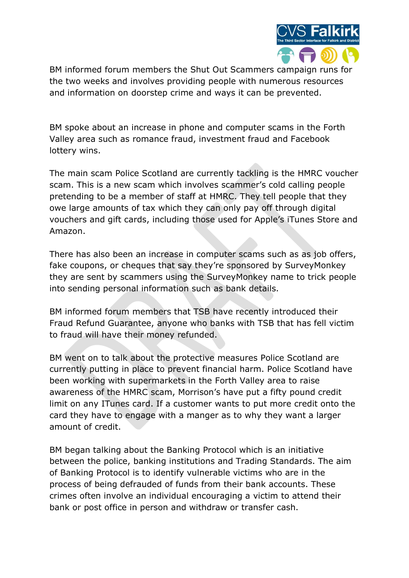

BM informed forum members the Shut Out Scammers campaign runs for the two weeks and involves providing people with numerous resources and information on doorstep crime and ways it can be prevented.

BM spoke about an increase in phone and computer scams in the Forth Valley area such as romance fraud, investment fraud and Facebook lottery wins.

The main scam Police Scotland are currently tackling is the HMRC voucher scam. This is a new scam which involves scammer's cold calling people pretending to be a member of staff at HMRC. They tell people that they owe large amounts of tax which they can only pay off through digital vouchers and gift cards, including those used for Apple's iTunes Store and Amazon.

There has also been an increase in computer scams such as as job offers, fake coupons, or cheques that say they're sponsored by SurveyMonkey they are sent by scammers using the SurveyMonkey name to trick people into sending personal information such as bank details.

BM informed forum members that TSB have recently introduced their Fraud Refund Guarantee, anyone who banks with TSB that has fell victim to fraud will have their money refunded.

BM went on to talk about the protective measures Police Scotland are currently putting in place to prevent financial harm. Police Scotland have been working with supermarkets in the Forth Valley area to raise awareness of the HMRC scam, Morrison's have put a fifty pound credit limit on any ITunes card. If a customer wants to put more credit onto the card they have to engage with a manger as to why they want a larger amount of credit.

BM began talking about the Banking Protocol which is an initiative between the police, banking institutions and Trading Standards. The aim of Banking Protocol is to identify vulnerable victims who are in the process of being defrauded of funds from their bank accounts. These crimes often involve an individual encouraging a victim to attend their bank or post office in person and withdraw or transfer cash.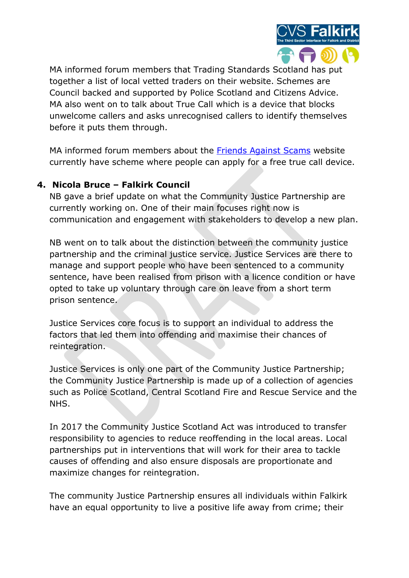

MA informed forum members that Trading Standards Scotland has put together a list of local vetted traders on their website. Schemes are Council backed and supported by Police Scotland and Citizens Advice. MA also went on to talk about True Call which is a device that blocks unwelcome callers and asks unrecognised callers to identify themselves before it puts them through.

MA informed forum members about the Friends Against Scams website currently have scheme where people can apply for a free true call device.

# 4. Nicola Bruce – Falkirk Council

NB gave a brief update on what the Community Justice Partnership are currently working on. One of their main focuses right now is communication and engagement with stakeholders to develop a new plan.

NB went on to talk about the distinction between the community justice partnership and the criminal justice service. Justice Services are there to manage and support people who have been sentenced to a community sentence, have been realised from prison with a licence condition or have opted to take up voluntary through care on leave from a short term prison sentence.

Justice Services core focus is to support an individual to address the factors that led them into offending and maximise their chances of reintegration.

Justice Services is only one part of the Community Justice Partnership; the Community Justice Partnership is made up of a collection of agencies such as Police Scotland, Central Scotland Fire and Rescue Service and the NHS.

In 2017 the Community Justice Scotland Act was introduced to transfer responsibility to agencies to reduce reoffending in the local areas. Local partnerships put in interventions that will work for their area to tackle causes of offending and also ensure disposals are proportionate and maximize changes for reintegration.

The community Justice Partnership ensures all individuals within Falkirk have an equal opportunity to live a positive life away from crime; their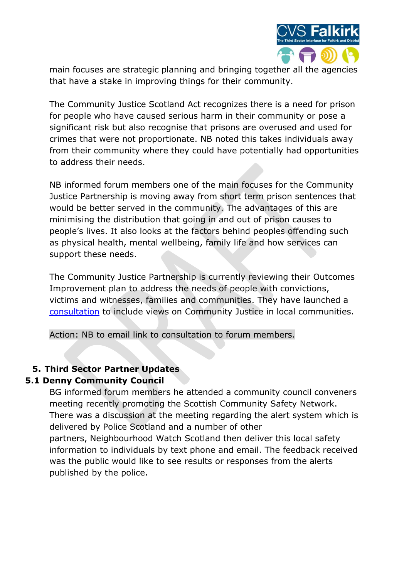

main focuses are strategic planning and bringing together all the agencies that have a stake in improving things for their community.

The Community Justice Scotland Act recognizes there is a need for prison for people who have caused serious harm in their community or pose a significant risk but also recognise that prisons are overused and used for crimes that were not proportionate. NB noted this takes individuals away from their community where they could have potentially had opportunities to address their needs.

NB informed forum members one of the main focuses for the Community Justice Partnership is moving away from short term prison sentences that would be better served in the community. The advantages of this are minimising the distribution that going in and out of prison causes to people's lives. It also looks at the factors behind peoples offending such as physical health, mental wellbeing, family life and how services can support these needs.

The Community Justice Partnership is currently reviewing their Outcomes Improvement plan to address the needs of people with convictions, victims and witnesses, families and communities. They have launched a consultation to include views on Community Justice in local communities.

Action: NB to email link to consultation to forum members.

## 5. Third Sector Partner Updates

#### 5.1 Denny Community Council

BG informed forum members he attended a community council conveners meeting recently promoting the Scottish Community Safety Network. There was a discussion at the meeting regarding the alert system which is delivered by Police Scotland and a number of other partners, Neighbourhood Watch Scotland then deliver this local safety information to individuals by text phone and email. The feedback received was the public would like to see results or responses from the alerts published by the police.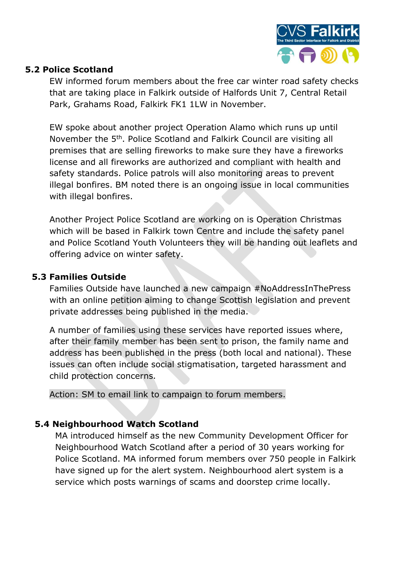

#### 5.2 Police Scotland

EW informed forum members about the free car winter road safety checks that are taking place in Falkirk outside of Halfords Unit 7, Central Retail Park, Grahams Road, Falkirk FK1 1LW in November.

EW spoke about another project Operation Alamo which runs up until November the 5th. Police Scotland and Falkirk Council are visiting all premises that are selling fireworks to make sure they have a fireworks license and all fireworks are authorized and compliant with health and safety standards. Police patrols will also monitoring areas to prevent illegal bonfires. BM noted there is an ongoing issue in local communities with illegal bonfires.

Another Project Police Scotland are working on is Operation Christmas which will be based in Falkirk town Centre and include the safety panel and Police Scotland Youth Volunteers they will be handing out leaflets and offering advice on winter safety.

#### 5.3 Families Outside

Families Outside have launched a new campaign #NoAddressInThePress with an online petition aiming to change Scottish legislation and prevent private addresses being published in the media.

A number of families using these services have reported issues where, after their family member has been sent to prison, the family name and address has been published in the press (both local and national). These issues can often include social stigmatisation, targeted harassment and child protection concerns.

Action: SM to email link to campaign to forum members.

## 5.4 Neighbourhood Watch Scotland

MA introduced himself as the new Community Development Officer for Neighbourhood Watch Scotland after a period of 30 years working for Police Scotland. MA informed forum members over 750 people in Falkirk have signed up for the alert system. Neighbourhood alert system is a service which posts warnings of scams and doorstep crime locally.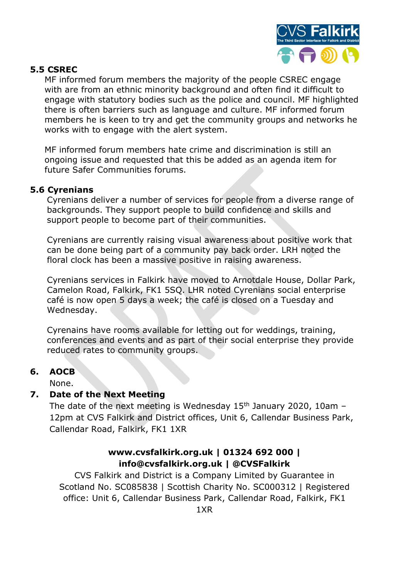

#### 5.5 CSREC

MF informed forum members the majority of the people CSREC engage with are from an ethnic minority background and often find it difficult to engage with statutory bodies such as the police and council. MF highlighted there is often barriers such as language and culture. MF informed forum members he is keen to try and get the community groups and networks he works with to engage with the alert system.

MF informed forum members hate crime and discrimination is still an ongoing issue and requested that this be added as an agenda item for future Safer Communities forums.

#### 5.6 Cyrenians

Cyrenians deliver a number of services for people from a diverse range of backgrounds. They support people to build confidence and skills and support people to become part of their communities.

Cyrenians are currently raising visual awareness about positive work that can be done being part of a community pay back order. LRH noted the floral clock has been a massive positive in raising awareness.

Cyrenians services in Falkirk have moved to Arnotdale House, Dollar Park, Camelon Road, Falkirk, FK1 5SQ. LHR noted Cyrenians social enterprise café is now open 5 days a week; the café is closed on a Tuesday and Wednesday.

Cyrenains have rooms available for letting out for weddings, training, conferences and events and as part of their social enterprise they provide reduced rates to community groups.

#### 6. AOCB

None.

#### 7. Date of the Next Meeting

The date of the next meeting is Wednesday  $15<sup>th</sup>$  January 2020, 10am -12pm at CVS Falkirk and District offices, Unit 6, Callendar Business Park, Callendar Road, Falkirk, FK1 1XR

#### www.cvsfalkirk.org.uk | 01324 692 000 | info@cvsfalkirk.org.uk | @CVSFalkirk

CVS Falkirk and District is a Company Limited by Guarantee in Scotland No. SC085838 | Scottish Charity No. SC000312 | Registered office: Unit 6, Callendar Business Park, Callendar Road, Falkirk, FK1